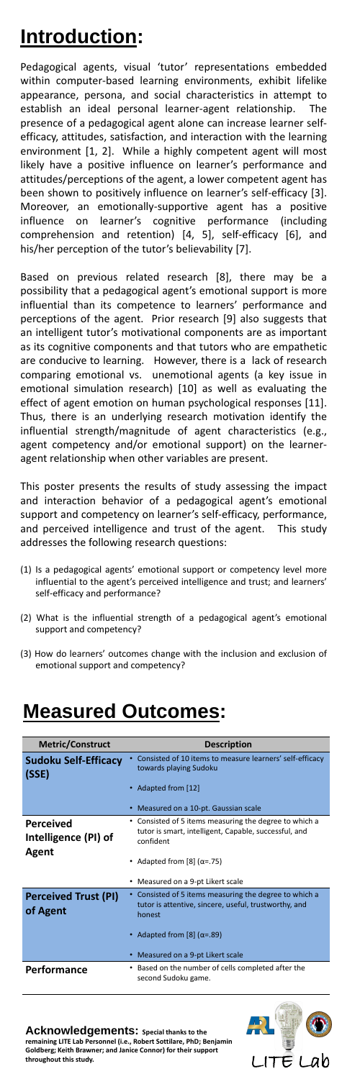## **Introduction:**

Pedagogical agents, visual 'tutor' representations embedded within computer-based learning environments, exhibit lifelike appearance, persona, and social characteristics in attempt to establish an ideal personal learner-agent relationship. The presence of a pedagogical agent alone can increase learner selfefficacy, attitudes, satisfaction, and interaction with the learning environment [1, 2]. While a highly competent agent will most likely have a positive influence on learner's performance and attitudes/perceptions of the agent, a lower competent agent has been shown to positively influence on learner's self-efficacy [3]. Moreover, an emotionally-supportive agent has a positive influence on learner's cognitive performance (including comprehension and retention) [4, 5], self-efficacy [6], and his/her perception of the tutor's believability [7].

Based on previous related research [8], there may be a possibility that a pedagogical agent's emotional support is more influential than its competence to learners' performance and perceptions of the agent. Prior research [9] also suggests that an intelligent tutor's motivational components are as important as its cognitive components and that tutors who are empathetic are conducive to learning. However, there is a lack of research comparing emotional vs. unemotional agents (a key issue in emotional simulation research) [10] as well as evaluating the effect of agent emotion on human psychological responses [11]. Thus, there is an underlying research motivation identify the influential strength/magnitude of agent characteristics (e.g., agent competency and/or emotional support) on the learneragent relationship when other variables are present.

This poster presents the results of study assessing the impact and interaction behavior of a pedagogical agent's emotional support and competency on learner's self-efficacy, performance, and perceived intelligence and trust of the agent. This study addresses the following research questions:

- (1) Is a pedagogical agents' emotional support or competency level more influential to the agent's perceived intelligence and trust; and learners' self-efficacy and performance?
- (2) What is the influential strength of a pedagogical agent's emotional support and competency?
- (3) How do learners' outcomes change with the inclusion and exclusion of emotional support and competency?

## **Measured Outcomes:**

**Metric/Construct Description** 

| <b>Sudoku Self-Efficacy</b><br>(SSE)                     | Consisted of 10 items to measure learners' self-efficacy<br>towards playing Sudoku<br>• Adapted from [12]<br>• Measured on a 10-pt. Gaussian scale                                                       |
|----------------------------------------------------------|----------------------------------------------------------------------------------------------------------------------------------------------------------------------------------------------------------|
| <b>Perceived</b><br>Intelligence (PI) of<br><b>Agent</b> | • Consisted of 5 items measuring the degree to which a<br>tutor is smart, intelligent, Capable, successful, and<br>confident<br>• Adapted from [8] $(\alpha = .75)$<br>• Measured on a 9-pt Likert scale |
| <b>Perceived Trust (PI)</b><br>of Agent                  | • Consisted of 5 items measuring the degree to which a<br>tutor is attentive, sincere, useful, trustworthy, and<br>honest<br>• Adapted from $[8]$ ( $\alpha$ =.89)<br>• Measured on a 9-pt Likert scale  |
| <b>Performance</b>                                       | Based on the number of cells completed after the<br>second Sudoku game.                                                                                                                                  |

Acknowledgements: Special thanks to the **remaining LITE Lab Personnel (i.e., Robert Sottilare, PhD; Benjamin Goldberg; Keith Brawner; and Janice Connor) for their support**  throughout this study.<br>
LITE LAD